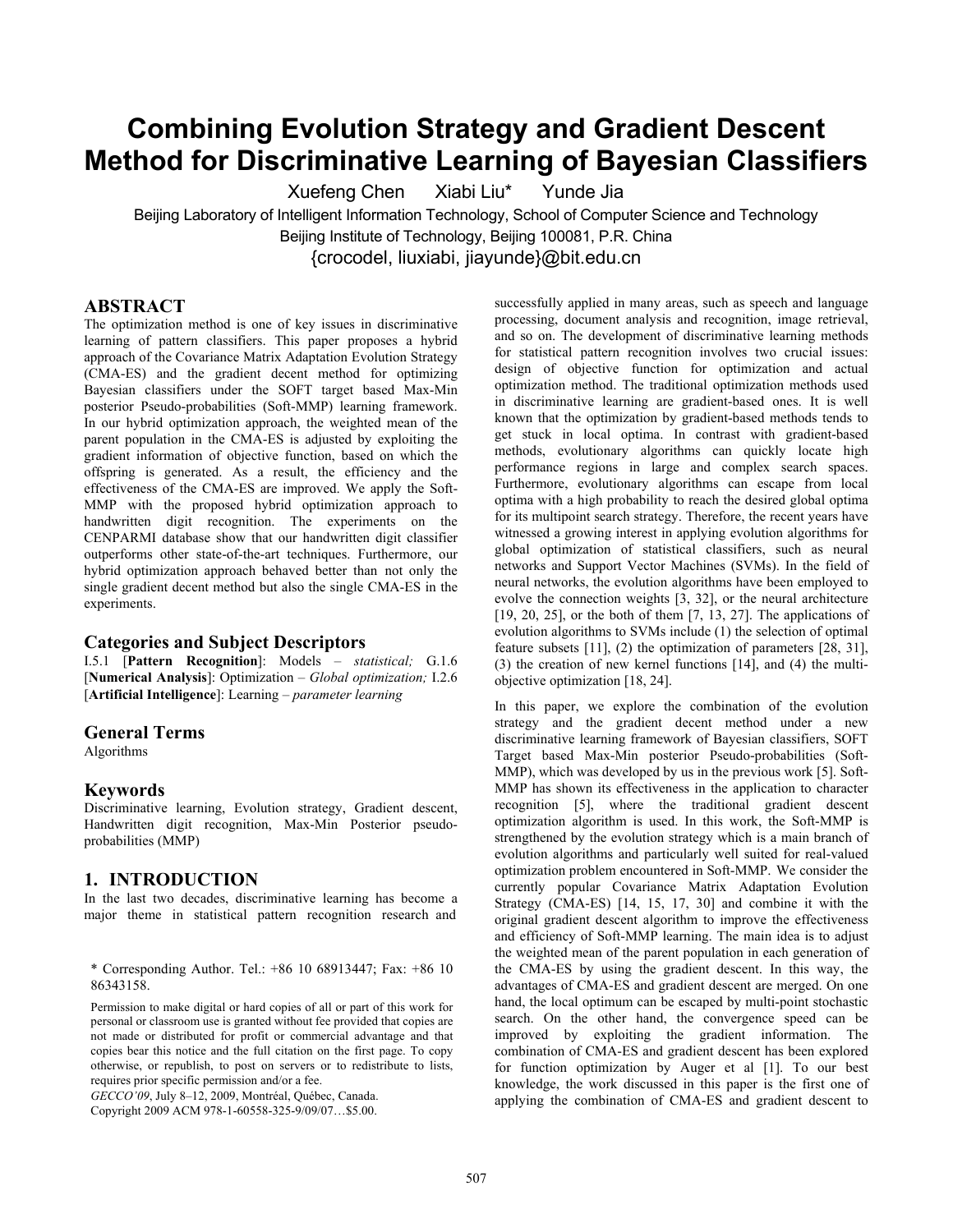# **Combining Evolution Strategy and Gradient Descent Method for Discriminative Learning of Bayesian Classifiers**

Xuefeng Chen Xiabi Liu\* Yunde Jia Beijing Laboratory of Intelligent Information Technology, School of Computer Science and Technology Beijing Institute of Technology, Beijing 100081, P.R. China {crocodel, liuxiabi, jiayunde}@bit.edu.cn

#### **ABSTRACT**

The optimization method is one of key issues in discriminative learning of pattern classifiers. This paper proposes a hybrid approach of the Covariance Matrix Adaptation Evolution Strategy (CMA-ES) and the gradient decent method for optimizing Bayesian classifiers under the SOFT target based Max-Min posterior Pseudo-probabilities (Soft-MMP) learning framework. In our hybrid optimization approach, the weighted mean of the parent population in the CMA-ES is adjusted by exploiting the gradient information of objective function, based on which the offspring is generated. As a result, the efficiency and the effectiveness of the CMA-ES are improved. We apply the Soft-MMP with the proposed hybrid optimization approach to handwritten digit recognition. The experiments on the CENPARMI database show that our handwritten digit classifier outperforms other state-of-the-art techniques. Furthermore, our hybrid optimization approach behaved better than not only the single gradient decent method but also the single CMA-ES in the experiments.

#### **Categories and Subject Descriptors**

I.5.1 [**Pattern Recognition**]: Models – *statistical;* G.1.6 [**Numerical Analysis**]: Optimization – *Global optimization;* I.2.6 [**Artificial Intelligence**]: Learning – *parameter learning* 

#### **General Terms**

Algorithms

#### **Keywords**

Discriminative learning, Evolution strategy, Gradient descent, Handwritten digit recognition, Max-Min Posterior pseudoprobabilities (MMP)

#### **1. INTRODUCTION**

In the last two decades, discriminative learning has become a major theme in statistical pattern recognition research and

\* Corresponding Author. Tel.: +86 10 68913447; Fax: +86 10 86343158.

Permission to make digital or hard copies of all or part of this work for personal or classroom use is granted without fee provided that copies are not made or distributed for profit or commercial advantage and that copies bear this notice and the full citation on the first page. To copy otherwise, or republish, to post on servers or to redistribute to lists, requires prior specific permission and/or a fee.

*GECCO'09*, July 8–12, 2009, Montréal, Québec, Canada.

Copyright 2009 ACM 978-1-60558-325-9/09/07…\$5.00.

successfully applied in many areas, such as speech and language processing, document analysis and recognition, image retrieval, and so on. The development of discriminative learning methods for statistical pattern recognition involves two crucial issues: design of objective function for optimization and actual optimization method. The traditional optimization methods used in discriminative learning are gradient-based ones. It is well known that the optimization by gradient-based methods tends to get stuck in local optima. In contrast with gradient-based methods, evolutionary algorithms can quickly locate high performance regions in large and complex search spaces. Furthermore, evolutionary algorithms can escape from local optima with a high probability to reach the desired global optima for its multipoint search strategy. Therefore, the recent years have witnessed a growing interest in applying evolution algorithms for global optimization of statistical classifiers, such as neural networks and Support Vector Machines (SVMs). In the field of neural networks, the evolution algorithms have been employed to evolve the connection weights [3, 32], or the neural architecture [19, 20, 25], or the both of them [7, 13, 27]. The applications of evolution algorithms to SVMs include (1) the selection of optimal feature subsets [11], (2) the optimization of parameters [28, 31], (3) the creation of new kernel functions [14], and (4) the multiobjective optimization [18, 24].

In this paper, we explore the combination of the evolution strategy and the gradient decent method under a new discriminative learning framework of Bayesian classifiers, SOFT Target based Max-Min posterior Pseudo-probabilities (Soft-MMP), which was developed by us in the previous work [5]. Soft-MMP has shown its effectiveness in the application to character recognition [5], where the traditional gradient descent optimization algorithm is used. In this work, the Soft-MMP is strengthened by the evolution strategy which is a main branch of evolution algorithms and particularly well suited for real-valued optimization problem encountered in Soft-MMP. We consider the currently popular Covariance Matrix Adaptation Evolution Strategy (CMA-ES) [14, 15, 17, 30] and combine it with the original gradient descent algorithm to improve the effectiveness and efficiency of Soft-MMP learning. The main idea is to adjust the weighted mean of the parent population in each generation of the CMA-ES by using the gradient descent. In this way, the advantages of CMA-ES and gradient descent are merged. On one hand, the local optimum can be escaped by multi-point stochastic search. On the other hand, the convergence speed can be improved by exploiting the gradient information. The combination of CMA-ES and gradient descent has been explored for function optimization by Auger et al [1]. To our best knowledge, the work discussed in this paper is the first one of applying the combination of CMA-ES and gradient descent to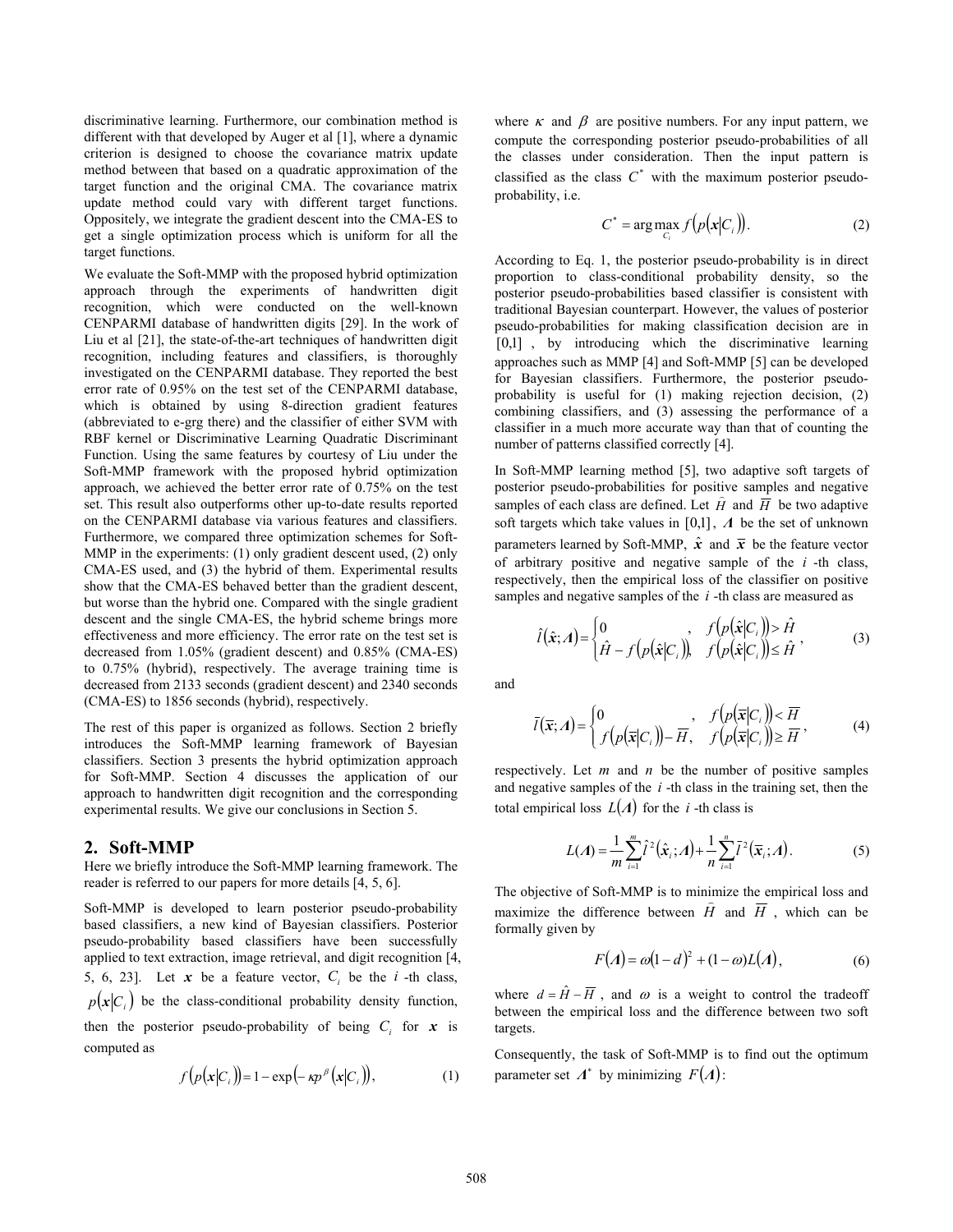discriminative learning. Furthermore, our combination method is different with that developed by Auger et al [1], where a dynamic criterion is designed to choose the covariance matrix update method between that based on a quadratic approximation of the target function and the original CMA. The covariance matrix update method could vary with different target functions. Oppositely, we integrate the gradient descent into the CMA-ES to get a single optimization process which is uniform for all the target functions.

We evaluate the Soft-MMP with the proposed hybrid optimization approach through the experiments of handwritten digit recognition, which were conducted on the well-known CENPARMI database of handwritten digits [29]. In the work of Liu et al [21], the state-of-the-art techniques of handwritten digit recognition, including features and classifiers, is thoroughly investigated on the CENPARMI database. They reported the best error rate of 0.95% on the test set of the CENPARMI database, which is obtained by using 8-direction gradient features (abbreviated to e-grg there) and the classifier of either SVM with RBF kernel or Discriminative Learning Quadratic Discriminant Function. Using the same features by courtesy of Liu under the Soft-MMP framework with the proposed hybrid optimization approach, we achieved the better error rate of 0.75% on the test set. This result also outperforms other up-to-date results reported on the CENPARMI database via various features and classifiers. Furthermore, we compared three optimization schemes for Soft-MMP in the experiments: (1) only gradient descent used, (2) only CMA-ES used, and (3) the hybrid of them. Experimental results show that the CMA-ES behaved better than the gradient descent, but worse than the hybrid one. Compared with the single gradient descent and the single CMA-ES, the hybrid scheme brings more effectiveness and more efficiency. The error rate on the test set is decreased from 1.05% (gradient descent) and 0.85% (CMA-ES) to 0.75% (hybrid), respectively. The average training time is decreased from 2133 seconds (gradient descent) and 2340 seconds (CMA-ES) to 1856 seconds (hybrid), respectively.

The rest of this paper is organized as follows. Section 2 briefly introduces the Soft-MMP learning framework of Bayesian classifiers. Section 3 presents the hybrid optimization approach for Soft-MMP. Section 4 discusses the application of our approach to handwritten digit recognition and the corresponding experimental results. We give our conclusions in Section 5.

#### **2. Soft-MMP**

Here we briefly introduce the Soft-MMP learning framework. The reader is referred to our papers for more details [4, 5, 6].

Soft-MMP is developed to learn posterior pseudo-probability based classifiers, a new kind of Bayesian classifiers. Posterior pseudo-probability based classifiers have been successfully applied to text extraction, image retrieval, and digit recognition [4, 5, 6, 23]. Let  $x$  be a feature vector,  $C_i$  be the  $i$ -th class,  $p(x|C_i)$  be the class-conditional probability density function, then the posterior pseudo-probability of being  $C_i$  for  $x$  is computed as

$$
f\big(p\big(\mathbf{x}|C_i\big)\big) = 1 - \exp\big(-\kappa p^{\beta}\big(\mathbf{x}|C_i\big)\big),\tag{1}
$$

where  $\kappa$  and  $\beta$  are positive numbers. For any input pattern, we compute the corresponding posterior pseudo-probabilities of all the classes under consideration. Then the input pattern is classified as the class  $C^*$  with the maximum posterior pseudoprobability, i.e.

$$
C^* = \arg\max_{C_i} f\big(p\big(\mathbf{x}|C_i\big)\big). \tag{2}
$$

According to Eq. 1, the posterior pseudo-probability is in direct proportion to class-conditional probability density, so the posterior pseudo-probabilities based classifier is consistent with traditional Bayesian counterpart. However, the values of posterior pseudo-probabilities for making classification decision are in [0,1], by introducing which the discriminative learning approaches such as MMP [4] and Soft-MMP [5] can be developed for Bayesian classifiers. Furthermore, the posterior pseudoprobability is useful for (1) making rejection decision, (2) combining classifiers, and (3) assessing the performance of a classifier in a much more accurate way than that of counting the number of patterns classified correctly [4].

In Soft-MMP learning method [5], two adaptive soft targets of posterior pseudo-probabilities for positive samples and negative samples of each class are defined. Let  $\hat{H}$  and  $\overline{H}$  be two adaptive soft targets which take values in [0,1], *Λ* be the set of unknown parameters learned by Soft-MMP,  $\hat{x}$  and  $\overline{x}$  be the feature vector of arbitrary positive and negative sample of the *i* -th class, respectively, then the empirical loss of the classifier on positive samples and negative samples of the *i* -th class are measured as

$$
\hat{l}(\hat{\mathbf{x}}; \Lambda) = \begin{cases} 0 & f(p(\hat{\mathbf{x}}|C_i)) > \hat{H} \\ \hat{H} - f(p(\hat{\mathbf{x}}|C_i)) & f(p(\hat{\mathbf{x}}|C_i)) \leq \hat{H} \end{cases}
$$
(3)

and

$$
\bar{l}(\bar{\mathbf{x}}; A) = \begin{cases} 0 & f\left(p(\bar{\mathbf{x}}|C_i)\right) < \bar{H} \\ f\left(p(\bar{\mathbf{x}}|C_i)\right) - \bar{H}, & f\left(p(\bar{\mathbf{x}}|C_i)\right) \geq \bar{H} \end{cases}, \tag{4}
$$

respectively. Let *m* and *n* be the number of positive samples and negative samples of the *i* -th class in the training set, then the total empirical loss  $L(A)$  for the *i*-th class is

$$
L(A) = \frac{1}{m} \sum_{i=1}^{m} \tilde{l}^{2}(\hat{x}_{i}; A) + \frac{1}{n} \sum_{i=1}^{n} \bar{l}^{2}(\bar{x}_{i}; A).
$$
 (5)

The objective of Soft-MMP is to minimize the empirical loss and maximize the difference between  $\hat{H}$  and  $\overline{H}$ , which can be formally given by

$$
F(A) = \omega(1 - d)^2 + (1 - \omega)L(A),
$$
 (6)

where  $d = \hat{H} - \overline{H}$ , and  $\omega$  is a weight to control the tradeoff between the empirical loss and the difference between two soft targets.

Consequently, the task of Soft-MMP is to find out the optimum parameter set  $\Lambda^*$  by minimizing  $F(\Lambda)$ :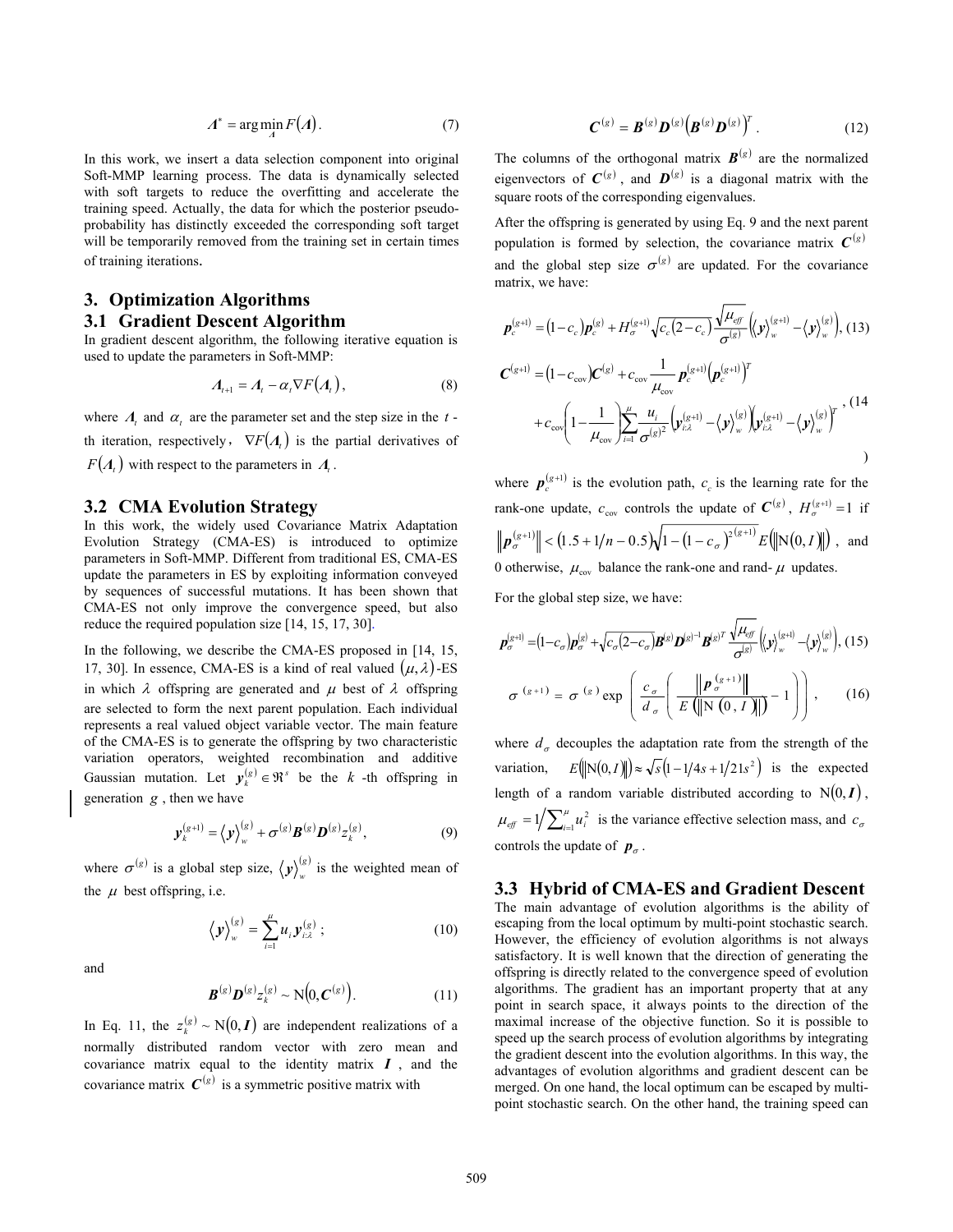$$
A^* = \arg\min_A F(A). \tag{7}
$$

In this work, we insert a data selection component into original Soft-MMP learning process. The data is dynamically selected with soft targets to reduce the overfitting and accelerate the training speed. Actually, the data for which the posterior pseudoprobability has distinctly exceeded the corresponding soft target will be temporarily removed from the training set in certain times of training iterations.

## **3. Optimization Algorithms**

### **3.1 Gradient Descent Algorithm**

In gradient descent algorithm, the following iterative equation is used to update the parameters in Soft-MMP:

$$
A_{t+1} = A_t - \alpha_t \nabla F(A_t), \qquad (8)
$$

where  $\Lambda$ , and  $\alpha$ , are the parameter set and the step size in the *t* th iteration, respectively,  $\nabla F(A)$  is the partial derivatives of  $F(A_t)$  with respect to the parameters in  $A_t$ .

#### **3.2 CMA Evolution Strategy**

In this work, the widely used Covariance Matrix Adaptation Evolution Strategy (CMA-ES) is introduced to optimize parameters in Soft-MMP. Different from traditional ES, CMA-ES update the parameters in ES by exploiting information conveyed by sequences of successful mutations. It has been shown that CMA-ES not only improve the convergence speed, but also reduce the required population size [14, 15, 17, 30].

In the following, we describe the CMA-ES proposed in [14, 15, 17, 30]. In essence, CMA-ES is a kind of real valued  $(\mu, \lambda)$ -ES in which  $\lambda$  offspring are generated and  $\mu$  best of  $\lambda$  offspring are selected to form the next parent population. Each individual represents a real valued object variable vector. The main feature of the CMA-ES is to generate the offspring by two characteristic variation operators, weighted recombination and additive Gaussian mutation. Let  $y_k^{(s)} \in \mathbb{R}^s$  be the *k* -th offspring in generation *g* , then we have

$$
\mathbf{y}_{k}^{(g+1)} = \langle \mathbf{y} \rangle_{w}^{(g)} + \sigma^{(g)} \mathbf{B}^{(g)} \mathbf{D}^{(g)} z_{k}^{(g)}, \tag{9}
$$

where  $\sigma^{(g)}$  is a global step size,  $\langle y \rangle_w^{(g)}$  is the weighted mean of the  $\mu$  best offspring, i.e.

$$
\left\langle \mathbf{y} \right\rangle_{w}^{(s)} = \sum_{i=1}^{n} u_{i} \mathbf{y}_{i\lambda}^{(s)} ; \qquad (10)
$$

and

$$
\boldsymbol{B}^{(g)}\boldsymbol{D}^{(g)}z_k^{(g)} \sim \mathcal{N}\big(0, \boldsymbol{C}^{(g)}\big). \tag{11}
$$

In Eq. 11, the  $z_k^{(g)} \sim N(0, I)$  are independent realizations of a normally distributed random vector with zero mean and covariance matrix equal to the identity matrix *I* , and the covariance matrix  $C^{(g)}$  is a symmetric positive matrix with

$$
\boldsymbol{C}^{(g)} = \boldsymbol{B}^{(g)} \boldsymbol{D}^{(g)} \big( \boldsymbol{B}^{(g)} \boldsymbol{D}^{(g)} \big)^T . \tag{12}
$$

The columns of the orthogonal matrix  $\mathbf{B}^{(g)}$  are the normalized eigenvectors of  $C^{(g)}$ , and  $D^{(g)}$  is a diagonal matrix with the square roots of the corresponding eigenvalues.

After the offspring is generated by using Eq. 9 and the next parent population is formed by selection, the covariance matrix  $C^{(g)}$ and the global step size  $\sigma^{(g)}$  are updated. For the covariance matrix, we have:

$$
\mathbf{p}_c^{(g+1)} = (1 - c_c) \mathbf{p}_c^{(g)} + H_{\sigma}^{(g+1)} \sqrt{c_c (2 - c_c)} \frac{\sqrt{\mu_{eff}}}{\sigma^{(g)}} (\!\langle \mathbf{y} \rangle_{w}^{(g+1)} - \langle \mathbf{y} \rangle_{w}^{(g)}) \, (13)
$$
\n
$$
\mathbf{C}^{(g+1)} = (1 - c_{\text{cov}}) \mathbf{C}^{(g)} + c_{\text{cov}} \frac{1}{\mu_{\text{cov}}} \mathbf{p}_c^{(g+1)} (\mathbf{p}_c^{(g+1)})^T
$$
\n
$$
+ c_{\text{cov}} \left( 1 - \frac{1}{\mu_{\text{cov}}} \right) \sum_{i=1}^{\mu} \frac{u_i}{\sigma^{(g)^2}} (\mathbf{y}_{i\lambda}^{(g+1)} - \langle \mathbf{y} \rangle_{w}^{(g)}) (\mathbf{y}_{i\lambda}^{(g+1)} - \langle \mathbf{y} \rangle_{w}^{(g)})^T \,, (14)
$$

where  $p_e^{(g+1)}$  is the evolution path,  $c_e$  is the learning rate for the rank-one update,  $c_{\text{cov}}$  controls the update of  $C^{(g)}$ ,  $H_{\sigma}^{(g+1)} = 1$  if  $\|\boldsymbol{p}_{\sigma}^{(g+1)}\|$  <  $(1.5 + 1/n - 0.5)\sqrt{1-(1-c_{\sigma})^{2(g+1)}} E(\|\mathbf{N}(0, I)\|)$ , and 0 otherwise,  $\mu_{\text{cov}}$  balance the rank-one and rand-  $\mu$  updates.

For the global step size, we have:

$$
\boldsymbol{p}_{\sigma}^{(g+1)} = (1 - c_{\sigma}) \boldsymbol{p}_{\sigma}^{(g)} + \sqrt{c_{\sigma} (2 - c_{\sigma})} \boldsymbol{B}^{(g)} \boldsymbol{D}^{(g)-1} \boldsymbol{B}^{(g)T} \frac{\sqrt{\mu_{\rm eff}}}{\sigma^{(g)}} \Big\langle \langle \boldsymbol{v} \rangle_{w}^{(g+1)} - \langle \boldsymbol{v} \rangle_{w}^{(g)} \Big\rangle, (15)
$$

$$
\sigma^{(g+1)} = \sigma^{(g)} \exp \left( \frac{c_{\sigma}}{d_{\sigma}} \left( \frac{\left\| \boldsymbol{p}_{\sigma}^{(g+1)} \right\|}{E \left( \left\| \mathbf{N} \left( 0, I \right) \right\| \right)} - 1 \right) \right), \qquad (16)
$$

where  $d_{\sigma}$  decouples the adaptation rate from the strength of the variation,  $E(\Vert N(0, I) \Vert) \approx \sqrt{s} (1 - 1/4s + 1/21s^2)$  is the expected length of a random variable distributed according to  $N(0, I)$ ,  $\mu_{\text{eff}} = 1/\sum_{i=1}^{\mu} u_i^2$  is the variance effective selection mass, and  $c_{\sigma}$ controls the update of  $p_\sigma$ .

#### **3.3 Hybrid of CMA-ES and Gradient Descent**

The main advantage of evolution algorithms is the ability of escaping from the local optimum by multi-point stochastic search. However, the efficiency of evolution algorithms is not always satisfactory. It is well known that the direction of generating the offspring is directly related to the convergence speed of evolution algorithms. The gradient has an important property that at any point in search space, it always points to the direction of the maximal increase of the objective function. So it is possible to speed up the search process of evolution algorithms by integrating the gradient descent into the evolution algorithms. In this way, the advantages of evolution algorithms and gradient descent can be merged. On one hand, the local optimum can be escaped by multipoint stochastic search. On the other hand, the training speed can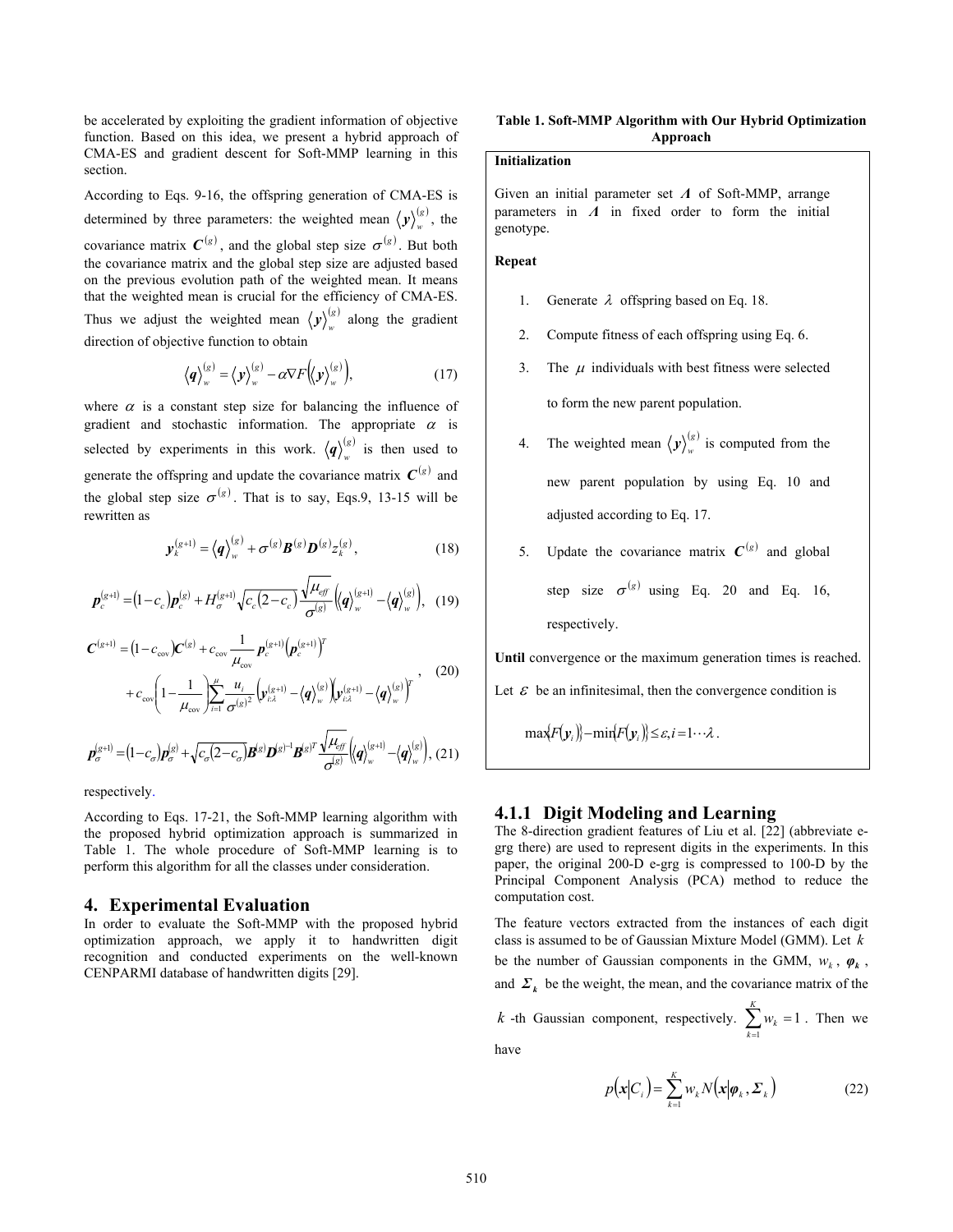be accelerated by exploiting the gradient information of objective function. Based on this idea, we present a hybrid approach of CMA-ES and gradient descent for Soft-MMP learning in this section.

According to Eqs. 9-16, the offspring generation of CMA-ES is determined by three parameters: the weighted mean  $\langle y \rangle_{w}^{(g)}$ , the covariance matrix  $C^{(g)}$ , and the global step size  $\sigma^{(g)}$ . But both the covariance matrix and the global step size are adjusted based on the previous evolution path of the weighted mean. It means that the weighted mean is crucial for the efficiency of CMA-ES. Thus we adjust the weighted mean  $\langle y \rangle_{w}^{(g)}$  along the gradient direction of objective function to obtain

$$
\langle q \rangle_{w}^{(s)} = \langle \mathbf{y} \rangle_{w}^{(s)} - \alpha \nabla F \big\langle \langle \mathbf{y} \rangle_{w}^{(s)} \big\rangle, \tag{17}
$$

where  $\alpha$  is a constant step size for balancing the influence of gradient and stochastic information. The appropriate  $\alpha$  is selected by experiments in this work.  $\langle q \rangle_{w}^{(s)}$  is then used to generate the offspring and update the covariance matrix  $C^{(g)}$  and the global step size  $\sigma^{(g)}$ . That is to say, Eqs.9, 13-15 will be rewritten as

$$
\mathbf{y}_{k}^{(g+1)} = \langle \mathbf{q} \rangle_{w}^{(g)} + \sigma^{(g)} \mathbf{B}^{(g)} \mathbf{D}^{(g)} z_{k}^{(g)}, \qquad (18)
$$

$$
\boldsymbol{p}_c^{(g+1)} = (1 - c_c) \boldsymbol{p}_c^{(g)} + H_{\sigma}^{(g+1)} \sqrt{c_c (2 - c_c)} \frac{\sqrt{\mu_{\text{eff}}}}{\sigma^{(g)}} \Big\langle \!\!\!\Big\langle \boldsymbol{q} \Big\rangle_{w}^{(g+1)} - \Big\langle \boldsymbol{q} \Big\rangle_{w}^{(g)} \Big\rangle, \quad (19)
$$

$$
C^{(g+1)} = (1 - c_{\text{cov}})C^{(g)} + c_{\text{cov}} \frac{1}{\mu_{\text{cov}}} p_c^{(g+1)} (p_c^{(g+1)})^T + c_{\text{cov}} \left(1 - \frac{1}{\mu_{\text{cov}}}\right) \sum_{i=1}^{\mu} \frac{u_i}{\sigma^{(g)^2}} \left(\psi_{i\lambda}^{(g+1)} - \langle q \rangle_w^{(g)}\right) \left(\psi_{i\lambda}^{(g+1)} - \langle q \rangle_w^{(g)}\right)^T
$$
(20)

$$
\boldsymbol{p}_{\sigma}^{(g+1)} = (1-c_{\sigma})\boldsymbol{p}_{\sigma}^{(g)} + \sqrt{c_{\sigma}(2-c_{\sigma})}\boldsymbol{B}^{(g)}\boldsymbol{D}^{(g)^{-1}}\boldsymbol{B}^{(g)^{T}}\frac{\sqrt{\mu_{\text{eff}}}}{\sigma^{(g)}}\Big(\!\big\langle\boldsymbol{q}\big\rangle_{w}^{(g+1)} - \big\langle\boldsymbol{q}\big\rangle_{w}^{(g)}\!\Big),\,(21)
$$

respectively.

According to Eqs. 17-21, the Soft-MMP learning algorithm with the proposed hybrid optimization approach is summarized in Table 1. The whole procedure of Soft-MMP learning is to perform this algorithm for all the classes under consideration.

#### **4. Experimental Evaluation**

In order to evaluate the Soft-MMP with the proposed hybrid optimization approach, we apply it to handwritten digit recognition and conducted experiments on the well-known CENPARMI database of handwritten digits [29].

#### **Table 1. Soft-MMP Algorithm with Our Hybrid Optimization Approach**

#### **Initialization**

Given an initial parameter set *Λ* of Soft-MMP, arrange parameters in *Λ* in fixed order to form the initial genotype.

#### **Repeat**

- 1. Generate  $\lambda$  offspring based on Eq. 18.
- 2. Compute fitness of each offspring using Eq. 6.
- 3. The  $\mu$  individuals with best fitness were selected to form the new parent population.
- 4. The weighted mean  $\langle y \rangle_w^{(g)}$  is computed from the new parent population by using Eq. 10 and adjusted according to Eq. 17.
- 5. Update the covariance matrix  $C^{(g)}$  and global

step size  $\sigma^{(g)}$  using Eq. 20 and Eq. 16, respectively.

**Until** convergence or the maximum generation times is reached.

Let  $\varepsilon$  be an infinitesimal, then the convergence condition is

 $\max{F(\mathbf{y}_i)} - \min{F(\mathbf{y}_i)} \leq \varepsilon, i = 1 \cdots \lambda$ .

#### **4.1.1 Digit Modeling and Learning**

The 8-direction gradient features of Liu et al. [22] (abbreviate egrg there) are used to represent digits in the experiments. In this paper, the original 200-D e-grg is compressed to 100-D by the Principal Component Analysis (PCA) method to reduce the computation cost.

The feature vectors extracted from the instances of each digit class is assumed to be of Gaussian Mixture Model (GMM). Let *k* be the number of Gaussian components in the GMM,  $w_k$ ,  $\varphi_k$ , and  $\Sigma_k$  be the weight, the mean, and the covariance matrix of the *k* -th Gaussian component, respectively.  $\sum w_k = 1$  $\sum_{k=1}^K w_k =$  $\sum_{k=1}^{k} w_k = 1$ . Then we

have

$$
p(\mathbf{x}|C_i) = \sum_{k=1}^{K} w_k N(\mathbf{x}|\boldsymbol{\varphi}_k, \boldsymbol{\varSigma}_k)
$$
 (22)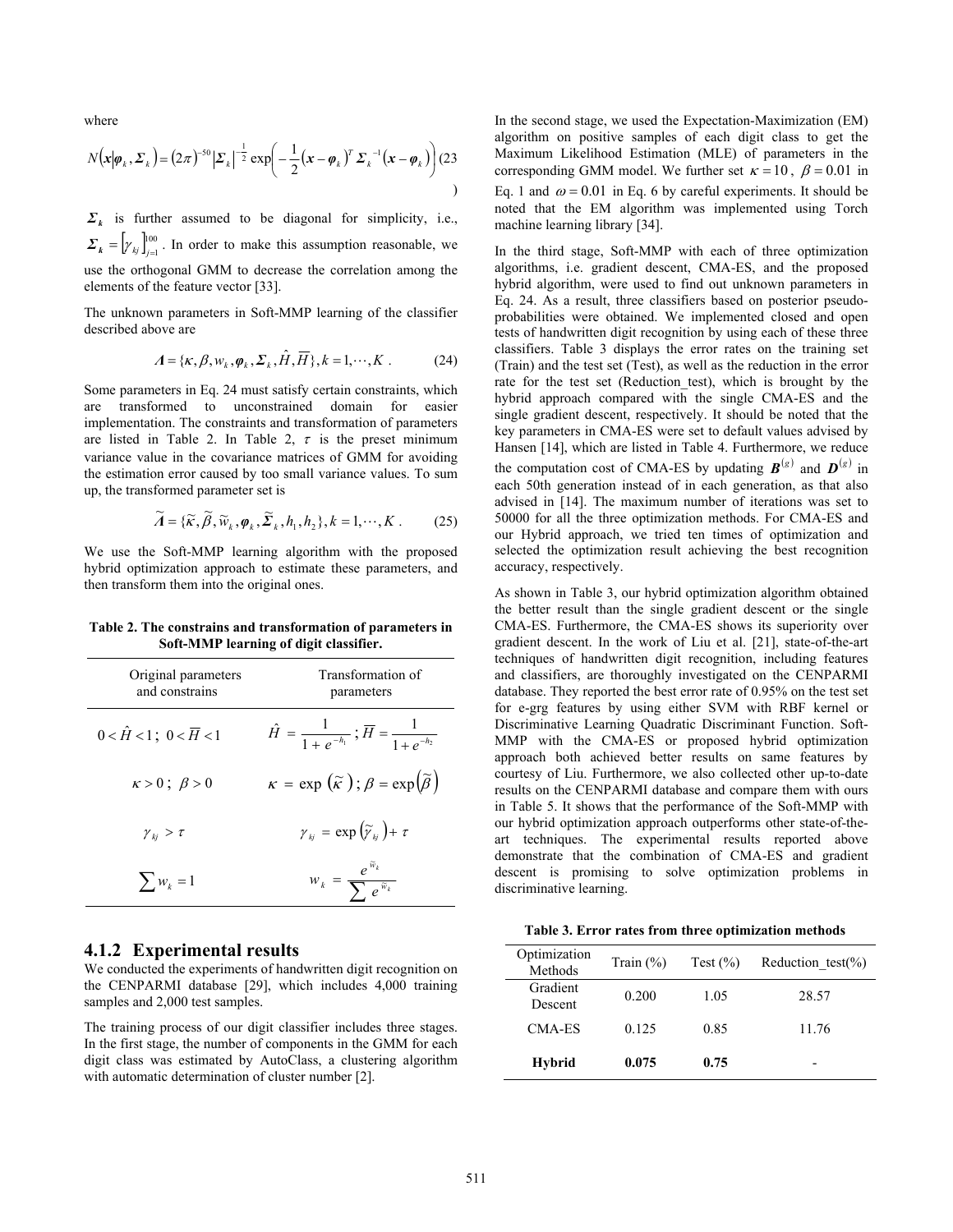where

$$
N\big(\mathbf{x}|\boldsymbol{\varphi}_k,\boldsymbol{\varSigma}_k\big) = \big(2\pi\big)^{-50} \big|\boldsymbol{\varSigma}_k\big|^{-\frac{1}{2}} \exp\bigg(-\frac{1}{2}\big(\mathbf{x}-\boldsymbol{\varphi}_k\big)^T \boldsymbol{\varSigma}_k^{-1}\big(\mathbf{x}-\boldsymbol{\varphi}_k\big)\bigg) \big(23\big)
$$

 $\Sigma_k$  is further assumed to be diagonal for simplicity, i.e.,  $\sum_{k}$  =  $\left[ \gamma_{kj} \right]_{j=1}^{100}$ . In order to make this assumption reasonable, we

use the orthogonal GMM to decrease the correlation among the elements of the feature vector [33].

The unknown parameters in Soft-MMP learning of the classifier described above are

$$
\Lambda = \{ \kappa, \beta, w_k, \varphi_k, \Sigma_k, \hat{H}, \overline{H} \}, k = 1, \cdots, K .
$$
 (24)

Some parameters in Eq. 24 must satisfy certain constraints, which are transformed to unconstrained domain for easier implementation. The constraints and transformation of parameters are listed in Table 2. In Table 2,  $\tau$  is the preset minimum variance value in the covariance matrices of GMM for avoiding the estimation error caused by too small variance values. To sum up, the transformed parameter set is

$$
\widetilde{A} = \{\widetilde{\kappa}, \widetilde{\beta}, \widetilde{w}_k, \varphi_k, \widetilde{\Sigma}_k, h_1, h_2\}, k = 1, \cdots, K.
$$
 (25)

We use the Soft-MMP learning algorithm with the proposed hybrid optimization approach to estimate these parameters, and then transform them into the original ones.

**Table 2. The constrains and transformation of parameters in Soft-MMP learning of digit classifier.** 

| Original parameters<br>and constrains      | Transformation of<br>parameters                                              |
|--------------------------------------------|------------------------------------------------------------------------------|
| $0 < \hat{H} < 1$ ; $0 < \overline{H} < 1$ | $\hat{H} = \frac{1}{1 + e^{-h_1}}$ ; $\overline{H} = \frac{1}{1 + e^{-h_2}}$ |
| $\kappa > 0$ ; $\beta > 0$                 | $\kappa = \exp(\widetilde{\kappa})$ ; $\beta = \exp(\widetilde{\beta})$      |
| $\gamma_{ki} > \tau$                       | $\gamma_{kj} = \exp\left(\widetilde{\gamma}_{kj}\right) + \tau$              |
| $\sum_{k=1}^{n} w_k = 1$                   | $w_k = \frac{e^{-k}}{\sum e^{\widetilde{w}_k}}$                              |

#### **4.1.2 Experimental results**

We conducted the experiments of handwritten digit recognition on the CENPARMI database [29], which includes 4,000 training samples and 2,000 test samples.

The training process of our digit classifier includes three stages. In the first stage, the number of components in the GMM for each digit class was estimated by AutoClass, a clustering algorithm with automatic determination of cluster number [2].

In the second stage, we used the Expectation-Maximization (EM) algorithm on positive samples of each digit class to get the Maximum Likelihood Estimation (MLE) of parameters in the corresponding GMM model. We further set  $\kappa = 10$ ,  $\beta = 0.01$  in Eq. 1 and  $\omega = 0.01$  in Eq. 6 by careful experiments. It should be noted that the EM algorithm was implemented using Torch machine learning library [34].

In the third stage, Soft-MMP with each of three optimization algorithms, i.e. gradient descent, CMA-ES, and the proposed hybrid algorithm, were used to find out unknown parameters in Eq. 24. As a result, three classifiers based on posterior pseudoprobabilities were obtained. We implemented closed and open tests of handwritten digit recognition by using each of these three classifiers. Table 3 displays the error rates on the training set (Train) and the test set (Test), as well as the reduction in the error rate for the test set (Reduction test), which is brought by the hybrid approach compared with the single CMA-ES and the single gradient descent, respectively. It should be noted that the key parameters in CMA-ES were set to default values advised by Hansen [14], which are listed in Table 4. Furthermore, we reduce the computation cost of CMA-ES by updating  $\mathbf{B}^{(g)}$  and  $\mathbf{D}^{(g)}$  in each 50th generation instead of in each generation, as that also advised in [14]. The maximum number of iterations was set to 50000 for all the three optimization methods. For CMA-ES and our Hybrid approach, we tried ten times of optimization and selected the optimization result achieving the best recognition accuracy, respectively.

As shown in Table 3, our hybrid optimization algorithm obtained the better result than the single gradient descent or the single CMA-ES. Furthermore, the CMA-ES shows its superiority over gradient descent. In the work of Liu et al. [21], state-of-the-art techniques of handwritten digit recognition, including features and classifiers, are thoroughly investigated on the CENPARMI database. They reported the best error rate of 0.95% on the test set for e-grg features by using either SVM with RBF kernel or Discriminative Learning Quadratic Discriminant Function. Soft-MMP with the CMA-ES or proposed hybrid optimization approach both achieved better results on same features by courtesy of Liu. Furthermore, we also collected other up-to-date results on the CENPARMI database and compare them with ours in Table 5. It shows that the performance of the Soft-MMP with our hybrid optimization approach outperforms other state-of-theart techniques. The experimental results reported above demonstrate that the combination of CMA-ES and gradient descent is promising to solve optimization problems in discriminative learning.

| Optimization<br>Methods | Train $(\% )$ | Test $(\% )$ | Reduction test( $\%$ ) |
|-------------------------|---------------|--------------|------------------------|
| Gradient<br>Descent     | 0.200         | 1.05         | 28.57                  |
| CMA-ES                  | 0.125         | 0.85         | 11.76                  |
| <b>Hybrid</b>           | 0.075         | 0.75         | -                      |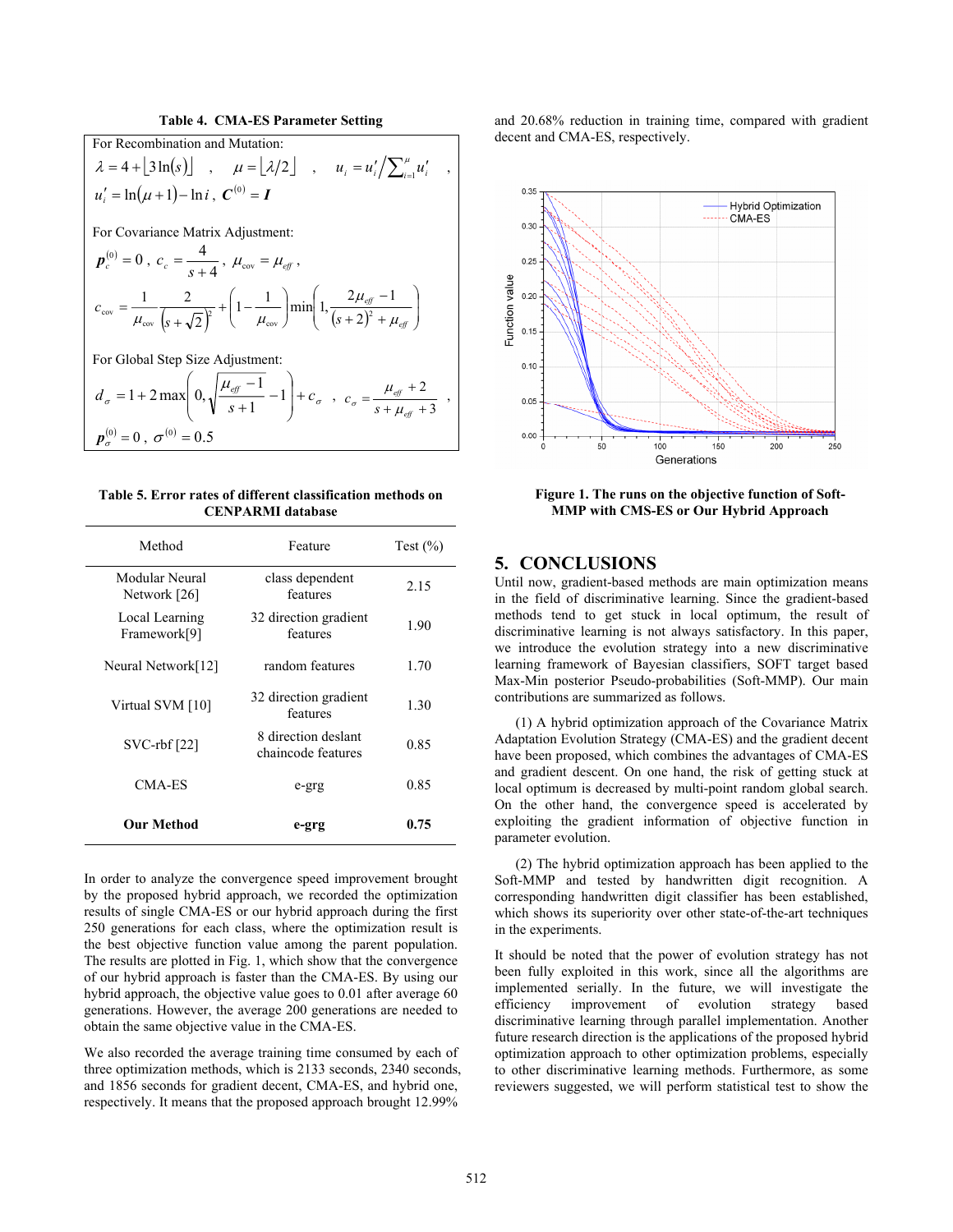**Table 4. CMA-ES Parameter Setting** 

For Recombination and Mutation:  $\lambda = 4 + \left[ 3 \ln(s) \right]$ ,  $\mu = \left[ \frac{\lambda}{2} \right]$ ,  $u_i = u'_i / \sum_{i=1}^{\mu} u'_i$ ,  $u'_{i} = \ln(\mu + 1) - \ln i$ ,  $C^{(0)} = I$ For Covariance Matrix Adjustment:  $p_c^{(0)} = 0$ ,  $c_c = \frac{4}{s+4}$ ,  $\mu_{cov} = \mu_{eff}$ ,  $\left( s + \sqrt{2} \right)^2$   $\left( 1 - \frac{1}{\mu_{\text{cov}}} \right)^{\text{min}} \left( 1 - \frac{1}{(s+2)^2 + \mu_{\text{eff}}} \right)$ ⎟ ⎠ ⎞  $\parallel$  $\mathsf I$ ⎝ ⎛  $(+ 2)^2 +$ −  $\overline{\phantom{a}}$ ⎠ ⎞  $\parallel$ ⎝  $+\bigg(1-$ + = *eff eff*  $(s + \sqrt{2})^2$   $(\mu_{cov})$   $(s)$ *c* μ μ  $\mu_{\rm cov} = \mu_{\rm cov} \left( s + \sqrt{2} \right)^2$  (1  $\mu_{\rm cov}$  )  $\mu_{\rm cov}$  (5 + 2)<sup>2</sup>  $1 - \frac{1}{\min\left(1, \frac{2\mu_{\text{eff}} - 1}{\lambda}\right)}$ 2 1 2 For Global Step Size Adjustment: σ σ  $d_{\sigma} = 1 + 2 \max \left[ 0, \sqrt{\frac{\mu_{\text{eff}} - 1}{s + 1}} - 1 \right] + c$  $\overline{a}$ ⎠ ⎞  $\mathsf I$  $\mathsf I$  $= 1 + 2 \max \left(0, \sqrt{\frac{\mu_{\text{eff}} - 1}{s + 1}} - 1\right)$  $1 + 2 \max \left(0, \sqrt{\frac{\mu_{\text{eff}} - 1}{s + 1}} - 1\right) + c_{\sigma}$ ,  $c_{\sigma} = \frac{\mu_{\text{eff}} + 2}{s + \mu_{\text{eff}} + 3}$  $=\frac{\mu_{\text{eff}}+2}{s+\mu_{\text{eff}}+2}$ *eff*  $c_{\sigma} = \frac{\mu_{\text{eff}} + 2}{s + \mu_{\text{eff}} + 3}$ ,  $p_{\sigma}^{(0)} = 0$ ,  $\sigma^{(0)} = 0.5$ 

| Table 5. Error rates of different classification methods on |  |  |  |  |
|-------------------------------------------------------------|--|--|--|--|
| <b>CENPARMI</b> database                                    |  |  |  |  |

| Method                         | Feature                                   | Test $(\% )$ |
|--------------------------------|-------------------------------------------|--------------|
| Modular Neural<br>Network [26] | class dependent<br>features               | 2.15         |
| Local Learning<br>Framework[9] | 32 direction gradient<br>features         | 1.90         |
| Neural Network[12]             | random features                           | 1.70         |
| Virtual SVM [10]               | 32 direction gradient<br>features         | 1.30         |
| $SVC$ -rbf $[22]$              | 8 direction deslant<br>chaincode features | 0.85         |
| CMA-ES                         | e-grg                                     | 0.85         |
| <b>Our Method</b>              | e-grg                                     | 0.75         |

In order to analyze the convergence speed improvement brought by the proposed hybrid approach, we recorded the optimization results of single CMA-ES or our hybrid approach during the first 250 generations for each class, where the optimization result is the best objective function value among the parent population. The results are plotted in Fig. 1, which show that the convergence of our hybrid approach is faster than the CMA-ES. By using our hybrid approach, the objective value goes to 0.01 after average 60 generations. However, the average 200 generations are needed to obtain the same objective value in the CMA-ES.

We also recorded the average training time consumed by each of three optimization methods, which is 2133 seconds, 2340 seconds, and 1856 seconds for gradient decent, CMA-ES, and hybrid one, respectively. It means that the proposed approach brought 12.99%

and 20.68% reduction in training time, compared with gradient decent and CMA-ES, respectively.



**Figure 1. The runs on the objective function of Soft-MMP with CMS-ES or Our Hybrid Approach** 

#### **5. CONCLUSIONS**

Until now, gradient-based methods are main optimization means in the field of discriminative learning. Since the gradient-based methods tend to get stuck in local optimum, the result of discriminative learning is not always satisfactory. In this paper, we introduce the evolution strategy into a new discriminative learning framework of Bayesian classifiers, SOFT target based Max-Min posterior Pseudo-probabilities (Soft-MMP). Our main contributions are summarized as follows.

(1) A hybrid optimization approach of the Covariance Matrix Adaptation Evolution Strategy (CMA-ES) and the gradient decent have been proposed, which combines the advantages of CMA-ES and gradient descent. On one hand, the risk of getting stuck at local optimum is decreased by multi-point random global search. On the other hand, the convergence speed is accelerated by exploiting the gradient information of objective function in parameter evolution.

(2) The hybrid optimization approach has been applied to the Soft-MMP and tested by handwritten digit recognition. A corresponding handwritten digit classifier has been established, which shows its superiority over other state-of-the-art techniques in the experiments.

It should be noted that the power of evolution strategy has not been fully exploited in this work, since all the algorithms are implemented serially. In the future, we will investigate the efficiency improvement of evolution strategy based discriminative learning through parallel implementation. Another future research direction is the applications of the proposed hybrid optimization approach to other optimization problems, especially to other discriminative learning methods. Furthermore, as some reviewers suggested, we will perform statistical test to show the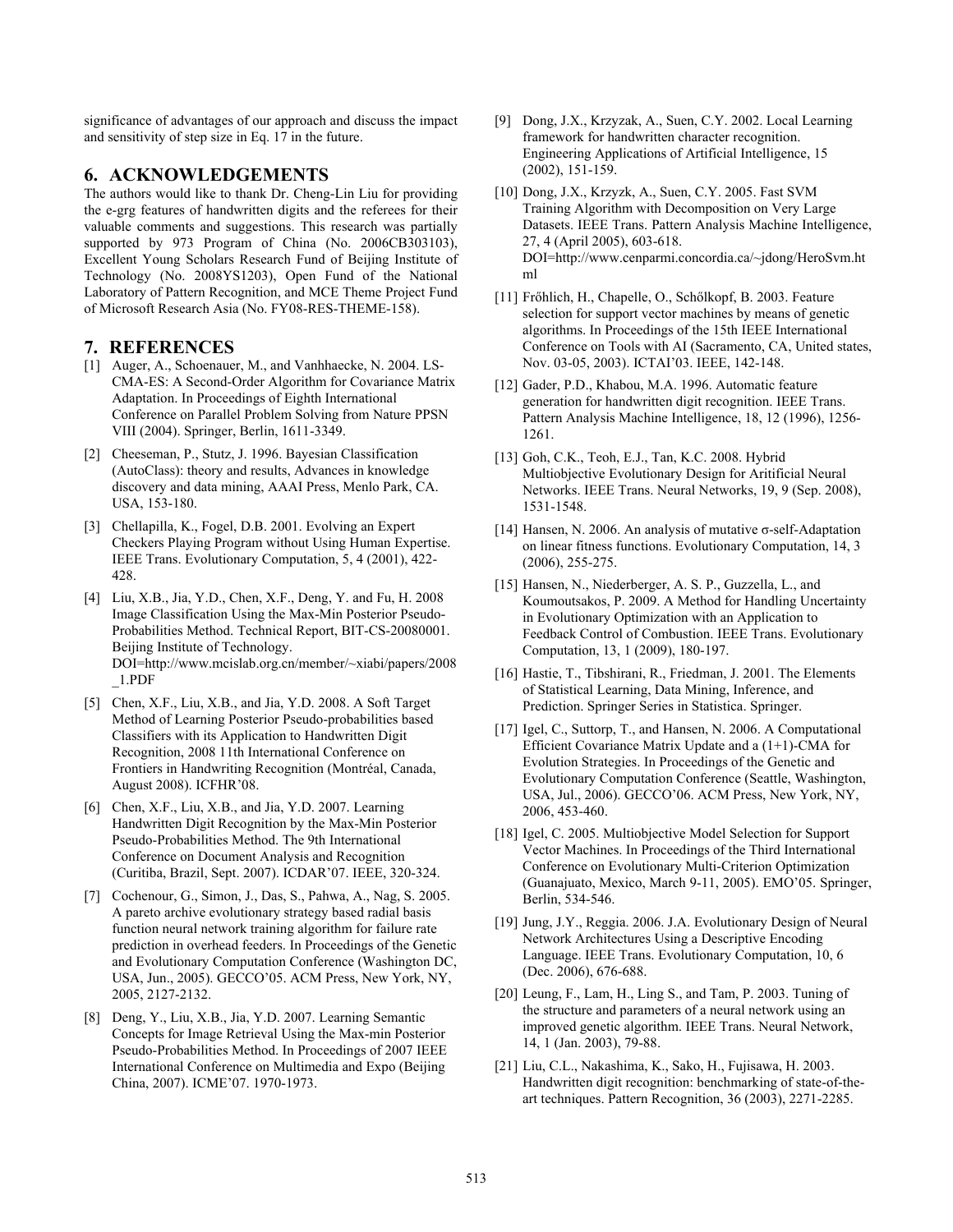significance of advantages of our approach and discuss the impact and sensitivity of step size in Eq. 17 in the future.

#### **6. ACKNOWLEDGEMENTS**

The authors would like to thank Dr. Cheng-Lin Liu for providing the e-grg features of handwritten digits and the referees for their valuable comments and suggestions. This research was partially supported by 973 Program of China (No. 2006CB303103). Excellent Young Scholars Research Fund of Beijing Institute of Technology (No. 2008YS1203), Open Fund of the National Laboratory of Pattern Recognition, and MCE Theme Project Fund of Microsoft Research Asia (No. FY08-RES-THEME-158).

#### **7. REFERENCES**

- [1] Auger, A., Schoenauer, M., and Vanhhaecke, N. 2004. LS-CMA-ES: A Second-Order Algorithm for Covariance Matrix Adaptation. In Proceedings of Eighth International Conference on Parallel Problem Solving from Nature PPSN VIII (2004). Springer, Berlin, 1611-3349.
- [2] Cheeseman, P., Stutz, J. 1996. Bayesian Classification (AutoClass): theory and results, Advances in knowledge discovery and data mining, AAAI Press, Menlo Park, CA. USA, 153-180.
- [3] Chellapilla, K., Fogel, D.B. 2001. Evolving an Expert Checkers Playing Program without Using Human Expertise. IEEE Trans. Evolutionary Computation, 5, 4 (2001), 422- 428.
- [4] Liu, X.B., Jia, Y.D., Chen, X.F., Deng, Y. and Fu, H. 2008 Image Classification Using the Max-Min Posterior Pseudo-Probabilities Method. Technical Report, BIT-CS-20080001. Beijing Institute of Technology. DOI=http://www.mcislab.org.cn/member/~xiabi/papers/2008 \_1.PDF
- [5] Chen, X.F., Liu, X.B., and Jia, Y.D. 2008. A Soft Target Method of Learning Posterior Pseudo-probabilities based Classifiers with its Application to Handwritten Digit Recognition, 2008 11th International Conference on Frontiers in Handwriting Recognition (Montréal, Canada, August 2008). ICFHR'08.
- [6] Chen, X.F., Liu, X.B., and Jia, Y.D. 2007. Learning Handwritten Digit Recognition by the Max-Min Posterior Pseudo-Probabilities Method. The 9th International Conference on Document Analysis and Recognition (Curitiba, Brazil, Sept. 2007). ICDAR'07. IEEE, 320-324.
- [7] Cochenour, G., Simon, J., Das, S., Pahwa, A., Nag, S. 2005. A pareto archive evolutionary strategy based radial basis function neural network training algorithm for failure rate prediction in overhead feeders. In Proceedings of the Genetic and Evolutionary Computation Conference (Washington DC, USA, Jun., 2005). GECCO'05. ACM Press, New York, NY, 2005, 2127-2132.
- [8] Deng, Y., Liu, X.B., Jia, Y.D. 2007. Learning Semantic Concepts for Image Retrieval Using the Max-min Posterior Pseudo-Probabilities Method. In Proceedings of 2007 IEEE International Conference on Multimedia and Expo (Beijing China, 2007). ICME'07. 1970-1973.
- [9] Dong, J.X., Krzyzak, A., Suen, C.Y. 2002. Local Learning framework for handwritten character recognition. Engineering Applications of Artificial Intelligence, 15 (2002), 151-159.
- [10] Dong, J.X., Krzyzk, A., Suen, C.Y. 2005. Fast SVM Training Algorithm with Decomposition on Very Large Datasets. IEEE Trans. Pattern Analysis Machine Intelligence, 27, 4 (April 2005), 603-618. DOI=http://www.cenparmi.concordia.ca/~jdong/HeroSvm.ht ml
- [11] Frőhlich, H., Chapelle, O., Schőlkopf, B. 2003. Feature selection for support vector machines by means of genetic algorithms. In Proceedings of the 15th IEEE International Conference on Tools with AI (Sacramento, CA, United states, Nov. 03-05, 2003). ICTAI'03. IEEE, 142-148.
- [12] Gader, P.D., Khabou, M.A. 1996. Automatic feature generation for handwritten digit recognition. IEEE Trans. Pattern Analysis Machine Intelligence, 18, 12 (1996), 1256- 1261.
- [13] Goh, C.K., Teoh, E.J., Tan, K.C. 2008. Hybrid Multiobjective Evolutionary Design for Aritificial Neural Networks. IEEE Trans. Neural Networks, 19, 9 (Sep. 2008), 1531-1548.
- [14] Hansen, N. 2006. An analysis of mutative σ-self-Adaptation on linear fitness functions. Evolutionary Computation, 14, 3 (2006), 255-275.
- [15] Hansen, N., Niederberger, A. S. P., Guzzella, L., and Koumoutsakos, P. 2009. A Method for Handling Uncertainty in Evolutionary Optimization with an Application to Feedback Control of Combustion. IEEE Trans. Evolutionary Computation, 13, 1 (2009), 180-197.
- [16] Hastie, T., Tibshirani, R., Friedman, J. 2001. The Elements of Statistical Learning, Data Mining, Inference, and Prediction. Springer Series in Statistica. Springer.
- [17] Igel, C., Suttorp, T., and Hansen, N. 2006. A Computational Efficient Covariance Matrix Update and a (1+1)-CMA for Evolution Strategies. In Proceedings of the Genetic and Evolutionary Computation Conference (Seattle, Washington, USA, Jul., 2006). GECCO'06. ACM Press, New York, NY, 2006, 453-460.
- [18] Igel, C. 2005. Multiobjective Model Selection for Support Vector Machines. In Proceedings of the Third International Conference on Evolutionary Multi-Criterion Optimization (Guanajuato, Mexico, March 9-11, 2005). EMO'05. Springer, Berlin, 534-546.
- [19] Jung, J.Y., Reggia. 2006. J.A. Evolutionary Design of Neural Network Architectures Using a Descriptive Encoding Language. IEEE Trans. Evolutionary Computation, 10, 6 (Dec. 2006), 676-688.
- [20] Leung, F., Lam, H., Ling S., and Tam, P. 2003. Tuning of the structure and parameters of a neural network using an improved genetic algorithm. IEEE Trans. Neural Network, 14, 1 (Jan. 2003), 79-88.
- [21] Liu, C.L., Nakashima, K., Sako, H., Fujisawa, H. 2003. Handwritten digit recognition: benchmarking of state-of-theart techniques. Pattern Recognition, 36 (2003), 2271-2285.